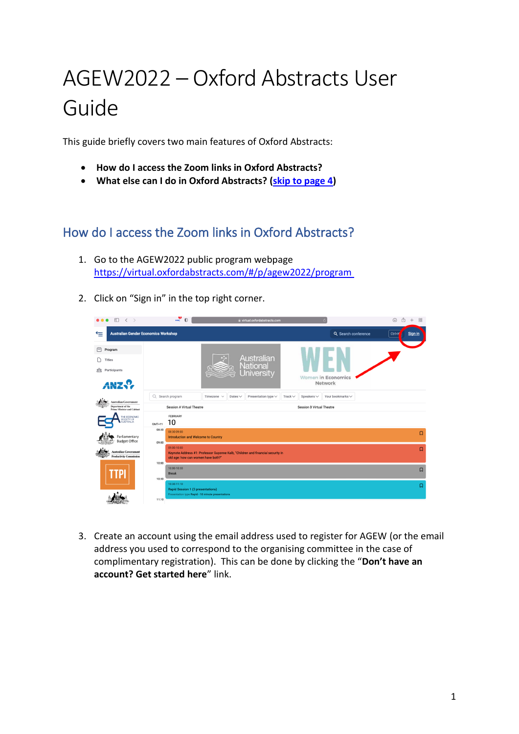# AGEW2022 – Oxford Abstracts User Guide

This guide briefly covers two main features of Oxford Abstracts:

- **How do I access the Zoom links in Oxford Abstracts?**
- **What else can I do in Oxford Abstracts? [\(skip to page 4\)](#page-2-0)**

## How do I access the Zoom links in Oxford Abstracts?

- 1. Go to the AGEW2022 public program webpage [https://virtual.oxfordabstracts.com/#/p/agew2022/program](https://virtual.oxfordabstracts.com/#/p/agew2022/program )
- 2. Click on "Sign in" in the top right corner.



3. Create an account using the email address used to register for AGEW (or the email address you used to correspond to the organising committee in the case of complimentary registration). This can be done by clicking the "**Don't have an account? Get started here**" link.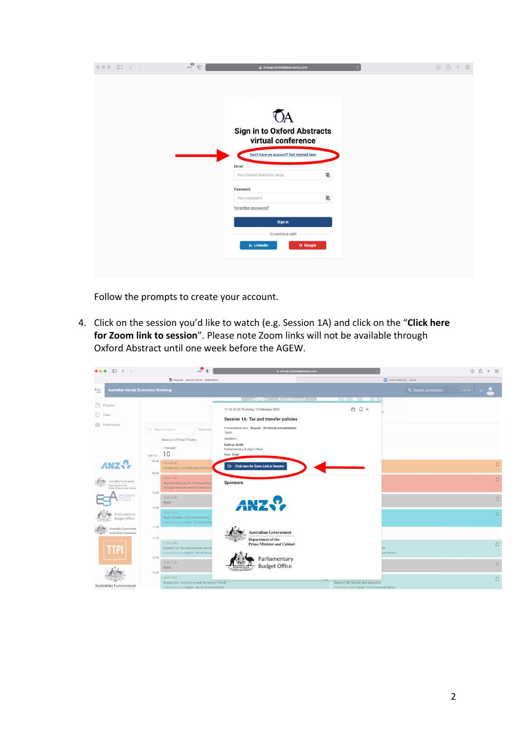| $\circ \circ \circ \quad \Box \quad \langle \quad \rangle$ | $\overset{\text{\normalsize{0}}}{\mathstrut\cdots}$<br>$\mathbb{O}$ | virtual.oxfordabstracts.com<br>$\mathcal{C}$ | $\begin{array}{c} \textcircled{\tiny 1} \end{array}$<br>$+$ 88<br>m |
|------------------------------------------------------------|---------------------------------------------------------------------|----------------------------------------------|---------------------------------------------------------------------|
|                                                            |                                                                     |                                              |                                                                     |
|                                                            |                                                                     |                                              |                                                                     |
|                                                            |                                                                     |                                              |                                                                     |
|                                                            |                                                                     |                                              |                                                                     |
|                                                            |                                                                     | <b>Sign in to Oxford Abstracts</b>           |                                                                     |
|                                                            |                                                                     | virtual conference                           |                                                                     |
|                                                            |                                                                     | Don't have an account? Get started here      |                                                                     |
|                                                            | Email                                                               |                                              |                                                                     |
|                                                            | Your Oxford Abstracts email                                         | $\overline{\mathbf{v}}_0$                    |                                                                     |
|                                                            | Password                                                            |                                              |                                                                     |
|                                                            | Your password                                                       | $\overline{\mathbf{v}}_0$                    |                                                                     |
|                                                            | Forgotten password?                                                 |                                              |                                                                     |
|                                                            |                                                                     |                                              |                                                                     |
|                                                            |                                                                     | Sign in                                      |                                                                     |
|                                                            |                                                                     | Or continue with                             |                                                                     |
|                                                            | in Linkedin                                                         | <b>G</b> Google                              |                                                                     |
|                                                            |                                                                     |                                              |                                                                     |

Follow the prompts to create your account.

4. Click on the session you'd like to watch (e.g. Session 1A) and click on the "**Click here for Zoom link to session**". Please note Zoom links will not be available through Oxford Abstract until one week before the AGEW.

| $\square$<br>$\langle \rangle$<br>$\bullet$ $\bullet$ $\bullet$          |                                                                                                                    | $\cdot$ <sup>0</sup> $\cdot$                                             | iii virtual.oxfordabstracts.com                        |                                                     |                       | 88<br>$\circledcirc$<br>m |
|--------------------------------------------------------------------------|--------------------------------------------------------------------------------------------------------------------|--------------------------------------------------------------------------|--------------------------------------------------------|-----------------------------------------------------|-----------------------|---------------------------|
|                                                                          | 1 Program - session 33231 - AGEW2022                                                                               |                                                                          |                                                        |                                                     | Launch Meeting - Zoom |                           |
| $\leftarrow$<br><b>Australian Gender Economics Workshop</b>              |                                                                                                                    |                                                                          |                                                        |                                                     | Q Search conference   | $ $ Ctrl+K $ $            |
| Program                                                                  |                                                                                                                    |                                                                          | Alational                                              |                                                     |                       |                           |
| $\bigcap$ Titles                                                         |                                                                                                                    | 11:15-12:50 Thursday, 10 February, 2022                                  |                                                        | 白 口 ×                                               |                       |                           |
|                                                                          |                                                                                                                    | Session 1A: Tax and transfer policies                                    |                                                        |                                                     |                       |                           |
| <sup>on</sup> Participants                                               | Q Search program                                                                                                   | Presentation type Regular - 30 minute presentations<br>Timezone<br>Track |                                                        |                                                     |                       |                           |
|                                                                          | Session A Virtual Theatre                                                                                          | Speakers                                                                 |                                                        |                                                     |                       |                           |
|                                                                          | FEBRUARY<br>10<br>$GMT+11$                                                                                         | Kathryn Smith<br>Parliamentary Budget Office<br>Role Chair               |                                                        |                                                     |                       |                           |
|                                                                          | 08:30<br>08:30-09:00<br>Introduction and Welcome to Count<br>09:00                                                 | <b>CD</b> Click here for Zoom Link to Session                            |                                                        |                                                     |                       | $\Box$                    |
| Australian Government<br>Department of the<br>Prime Minister and Cabinet | 09:00-10:00<br>Keynote Address #1: Professor Guy<br>old age: how can women have both                               | <b>Sponsors</b>                                                          |                                                        |                                                     |                       | $\Box$                    |
| THE ECONOMIC<br><b>SOCIETY OF</b><br>ALISTRALIA                          | 10:00<br>10:00-10:30<br><b>Break</b><br>10:30                                                                      |                                                                          |                                                        |                                                     |                       | $\Box$                    |
| Parliamentary<br><b>Budget Office</b>                                    | 10:30-11:10<br>Rapid Session 1 (3 presentations)<br>Presentation type Rapid - 10 minute prese                      |                                                                          |                                                        |                                                     |                       | $\Box$                    |
| Australian Government<br><b>Productivity Commission</b>                  | 11:10                                                                                                              | <b>Australian Government</b>                                             |                                                        |                                                     |                       |                           |
|                                                                          | 11:15<br>11:15-12:50<br>Session 1A: Tax and transfer policie<br>Presentation type Regular - 30 minute pre<br>12:50 |                                                                          | Department of the<br><b>Prime Minister and Cabinet</b> |                                                     | tns<br>esentations    | $\Box$                    |
|                                                                          | 12:50-13:20<br><b>Break</b>                                                                                        | <b>AUSTRALIA</b>                                                         | Parliamentary<br><b>Budget Office</b>                  |                                                     |                       | $\Box$                    |
|                                                                          | 13:20<br>13:20-14:55<br>Session 2A: Institutions and the labour market                                             |                                                                          |                                                        | Session 2B: Gender and education                    |                       | $\Box$                    |
| <b>Australian Government</b>                                             | Presentation type Regular - 30 minute presentations                                                                |                                                                          |                                                        | Presentation type Regular - 30 minute presentations |                       |                           |